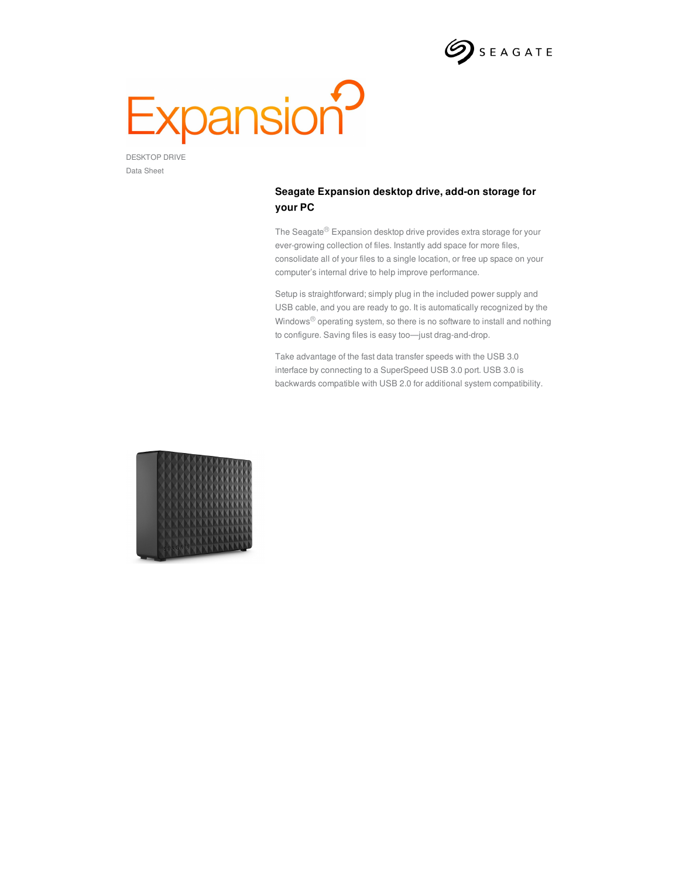

## Expansion<sup>2</sup>

DESKTOP DRIVE Data Sheet

## **Seagate Expansion desktop drive, add-on storage for your PC**

The Seagate $^{\circledR}$  Expansion desktop drive provides extra storage for your ever-growing collection of files. Instantly add space for more files, consolidate all of your files to a single location, or free up space on your computer's internal drive to help improve performance.

Setup is straightforward; simply plug in the included power supply and USB cable, and you are ready to go. It is automatically recognized by the Windows® operating system, so there is no software to install and nothing to configure. Saving files is easy too—just drag-and-drop.

Take advantage of the fast data transfer speeds with the USB 3.0 interface by connecting to a SuperSpeed USB 3.0 port. USB 3.0 is backwards compatible with USB 2.0 for additional system compatibility.